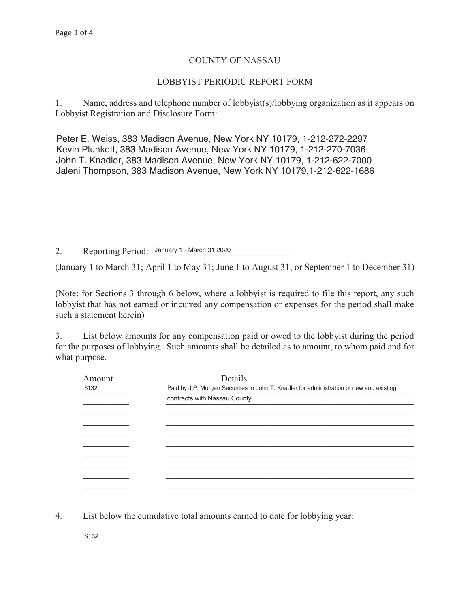## COUNTY OF NASSAU

## LOBBYIST PERIODIC REPORT FORM

1. Name, address and telephone number of lobbyist(s)/lobbying organization as it appears on Lobbyist Registration and Disclosure Form:

Peter E. Weiss, 383 Madison Avenue, New York NY 10179, 1-212-272-2297 \_\_\_\_\_\_\_\_\_\_\_\_\_\_\_\_\_\_\_\_\_\_\_\_\_\_\_\_\_\_\_\_\_\_\_\_\_\_\_\_\_\_\_\_\_\_\_\_\_\_\_\_\_\_\_\_\_\_\_\_\_\_\_\_\_\_\_\_\_\_\_\_\_\_\_\_\_\_ John T. Knadler, 383 Madison Avenue, New York NY 10179, 1-212-622-7000  $\sigma$  and the intempoon, obe magnetic reduced from the metric term  $\sigma_i$  . Like the root Kevin Plunkett, 383 Madison Avenue, New York NY 10179, 1-212-270-7036 Jaleni Thompson, 383 Madison Avenue, New York NY 10179,1-212-622-1686

2. Reporting Period: January 1 - March 31 2020

(January 1 to March 31; April 1 to May 31; June 1 to August 31; or September 1 to December 31)

(Note: for Sections 3 through 6 below, where a lobbyist is required to file this report, any such lobbyist that has not earned or incurred any compensation or expenses for the period shall make such a statement herein)

3. List below amounts for any compensation paid or owed to the lobbyist during the period for the purposes of lobbying. Such amounts shall be detailed as to amount, to whom paid and for what purpose.

| Amount | Details                                                                                  |  |  |  |  |  |
|--------|------------------------------------------------------------------------------------------|--|--|--|--|--|
| \$132  | Paid by J.P. Morgan Securities to John T. Knadler for administration of new and existing |  |  |  |  |  |
|        | contracts with Nassau County                                                             |  |  |  |  |  |
|        |                                                                                          |  |  |  |  |  |
|        |                                                                                          |  |  |  |  |  |
|        |                                                                                          |  |  |  |  |  |
|        |                                                                                          |  |  |  |  |  |
|        |                                                                                          |  |  |  |  |  |
|        |                                                                                          |  |  |  |  |  |
|        |                                                                                          |  |  |  |  |  |
|        |                                                                                          |  |  |  |  |  |

4. List below the cumulative total amounts earned to date for lobbying year:

 $$132$ \$132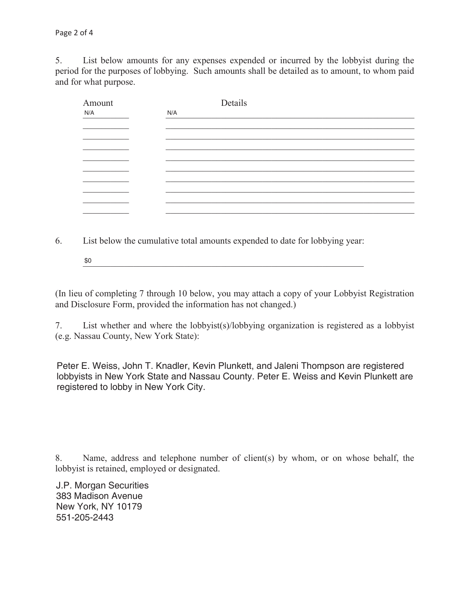5. List below amounts for any expenses expended or incurred by the lobbyist during the period for the purposes of lobbying. Such amounts shall be detailed as to amount, to whom paid and for what purpose.

| Amount | Details |  |  |  |  |
|--------|---------|--|--|--|--|
| N/A    | N/A     |  |  |  |  |
|        |         |  |  |  |  |
|        |         |  |  |  |  |
|        |         |  |  |  |  |
|        |         |  |  |  |  |
|        |         |  |  |  |  |
|        |         |  |  |  |  |
|        |         |  |  |  |  |
|        |         |  |  |  |  |
|        |         |  |  |  |  |
|        |         |  |  |  |  |
|        |         |  |  |  |  |
|        |         |  |  |  |  |

6. List below the cumulative total amounts expended to date for lobbying year:

 $\frac{1}{20}$ \$0

(In lieu of completing 7 through 10 below, you may attach a copy of your Lobbyist Registration and Disclosure Form, provided the information has not changed.)

7. List whether and where the lobbyist(s)/lobbying organization is registered as a lobbyist (e.g. Nassau County, New York State):

Peter E. Weiss, John T. Knadler, Kevin Plunkett, and Jaleni Thompson are registered registered to lobby in New York City. lobbyists in New York State and Nassau County. Peter E. Weiss and Kevin Plunkett are

8. Name, address and telephone number of client(s) by whom, or on whose behalf, the lobbyist is retained, employed or designated.

\_\_\_\_\_\_\_\_\_\_\_\_\_\_\_\_\_\_\_\_\_\_\_\_\_\_\_\_\_\_\_\_\_\_\_\_\_\_\_\_\_\_\_\_\_\_\_\_\_\_\_\_\_\_\_\_\_\_\_\_\_\_\_\_\_\_\_\_\_\_\_\_\_\_\_\_\_\_ 383 Madison Avenue \_\_\_\_\_\_\_\_\_\_\_\_\_\_\_\_\_\_\_\_\_\_\_\_\_\_\_\_\_\_\_\_\_\_\_\_\_\_\_\_\_\_\_\_\_\_\_\_\_\_\_\_\_\_\_\_\_\_\_\_\_\_\_\_\_\_\_\_\_\_\_\_\_\_\_\_\_\_ 551-205-2443J.P. Morgan Securities New York, NY 10179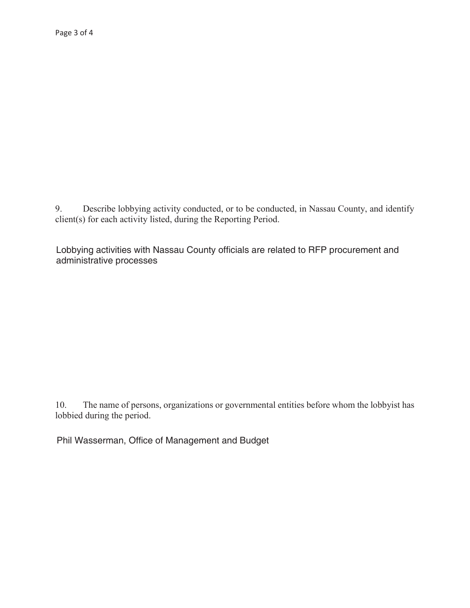Describe lobbying activity conducted, or to be conducted, in Nassau County, and identify 9.  $client(s)$  for each activity listed, during the Reporting Period.

Lobbying activities with Nassau County officials are related to RFP procurement and administrative processes

The name of persons, organizations or governmental entities before whom the lobbyist has  $10.$ lobbied during the period.

Phil Wasserman, Office of Management and Budget